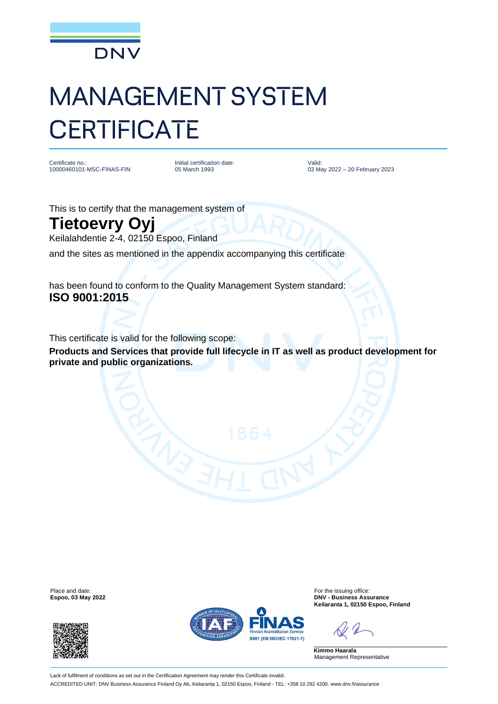

## MANAGEMENT SYSTEM **CERTIFICATE**

Certificate no.: 10000460101-MSC-FINAS-FIN Initial certification date: 05 March 1993

Valid: 03 May 2022 – 20 February 2023

This is to certify that the management system of

## **Tietoevry Oyj**

Keilalahdentie 2-4, 02150 Espoo, Finland

and the sites as mentioned in the appendix accompanying this certificate

has been found to conform to the Quality Management System standard: **ISO 9001:2015**

This certificate is valid for the following scope:

**Products and Services that provide full lifecycle in IT as well as product development for private and public organizations.**

Place and date: For the issuing office:<br>
For the issuing office: Espoo, 03 May 2022<br>
PNV - Business Ass





**Espoo, 03 May 2022 DNV - Business Assurance Keilaranta 1, 02150 Espoo, Finland**

**Kimmo Haarala** Management Representative

Lack of fulfilment of conditions as set out in the Certification Agreement may render this Certificate invalid. ACCREDITED UNIT: DNV Business Assurance Finland Oy Ab, Keilaranta 1, 02150 Espoo, Finland - TEL: +358 10 292 4200. www.dnv.fi/assurance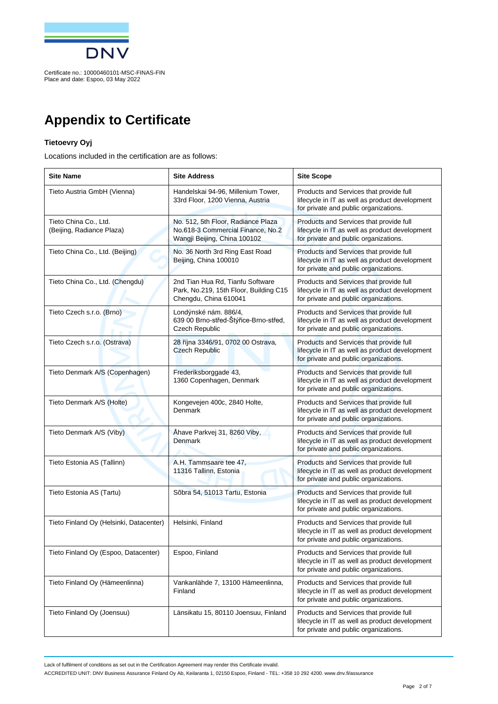

## **Appendix to Certificate**

## **Tietoevry Oyj**

Locations included in the certification are as follows:

| <b>Site Name</b>                                   | <b>Site Address</b>                                                                                     | <b>Site Scope</b>                                                                                                                  |
|----------------------------------------------------|---------------------------------------------------------------------------------------------------------|------------------------------------------------------------------------------------------------------------------------------------|
| Tieto Austria GmbH (Vienna)                        | Handelskai 94-96, Millenium Tower,<br>33rd Floor, 1200 Vienna, Austria                                  | Products and Services that provide full<br>lifecycle in IT as well as product development<br>for private and public organizations. |
| Tieto China Co., Ltd.<br>(Beijing, Radiance Plaza) | No. 512, 5th Floor, Radiance Plaza<br>No.618-3 Commercial Finance, No.2<br>Wangji Beijing, China 100102 | Products and Services that provide full<br>lifecycle in IT as well as product development<br>for private and public organizations. |
| Tieto China Co., Ltd. (Beijing)                    | No. 36 North 3rd Ring East Road<br>Beijing, China 100010                                                | Products and Services that provide full<br>lifecycle in IT as well as product development<br>for private and public organizations. |
| Tieto China Co., Ltd. (Chengdu)                    | 2nd Tian Hua Rd, Tianfu Software<br>Park, No.219, 15th Floor, Building C15<br>Chengdu, China 610041     | Products and Services that provide full<br>lifecycle in IT as well as product development<br>for private and public organizations. |
| Tieto Czech s.r.o. (Brno)                          | Londýnské nám. 886/4,<br>639 00 Brno-střed-Štýřice-Brno-střed,<br>Czech Republic                        | Products and Services that provide full<br>lifecycle in IT as well as product development<br>for private and public organizations. |
| Tieto Czech s.r.o. (Ostrava)                       | 28 října 3346/91, 0702 00 Ostrava,<br><b>Czech Republic</b>                                             | Products and Services that provide full<br>lifecycle in IT as well as product development<br>for private and public organizations. |
| Tieto Denmark A/S (Copenhagen)                     | Frederiksborggade 43,<br>1360 Copenhagen, Denmark                                                       | Products and Services that provide full<br>lifecycle in IT as well as product development<br>for private and public organizations. |
| Tieto Denmark A/S (Holte)                          | Kongevejen 400c, 2840 Holte,<br>Denmark                                                                 | Products and Services that provide full<br>lifecycle in IT as well as product development<br>for private and public organizations. |
| Tieto Denmark A/S (Viby)                           | Åhave Parkvej 31, 8260 Viby,<br><b>Denmark</b>                                                          | Products and Services that provide full<br>lifecycle in IT as well as product development<br>for private and public organizations. |
| Tieto Estonia AS (Tallinn)                         | A.H. Tammsaare tee 47,<br>11316 Tallinn, Estonia                                                        | Products and Services that provide full<br>lifecycle in IT as well as product development<br>for private and public organizations. |
| Tieto Estonia AS (Tartu)                           | Sõbra 54, 51013 Tartu, Estonia                                                                          | Products and Services that provide full<br>lifecycle in IT as well as product development<br>for private and public organizations. |
| Tieto Finland Oy (Helsinki, Datacenter)            | Helsinki, Finland                                                                                       | Products and Services that provide full<br>lifecycle in IT as well as product development<br>for private and public organizations. |
| Tieto Finland Oy (Espoo, Datacenter)               | Espoo, Finland                                                                                          | Products and Services that provide full<br>lifecycle in IT as well as product development<br>for private and public organizations. |
| Tieto Finland Oy (Hämeenlinna)                     | Vankanlähde 7, 13100 Hämeenlinna,<br>Finland                                                            | Products and Services that provide full<br>lifecycle in IT as well as product development<br>for private and public organizations. |
| Tieto Finland Oy (Joensuu)                         | Länsikatu 15, 80110 Joensuu, Finland                                                                    | Products and Services that provide full<br>lifecycle in IT as well as product development<br>for private and public organizations. |

Lack of fulfilment of conditions as set out in the Certification Agreement may render this Certificate invalid.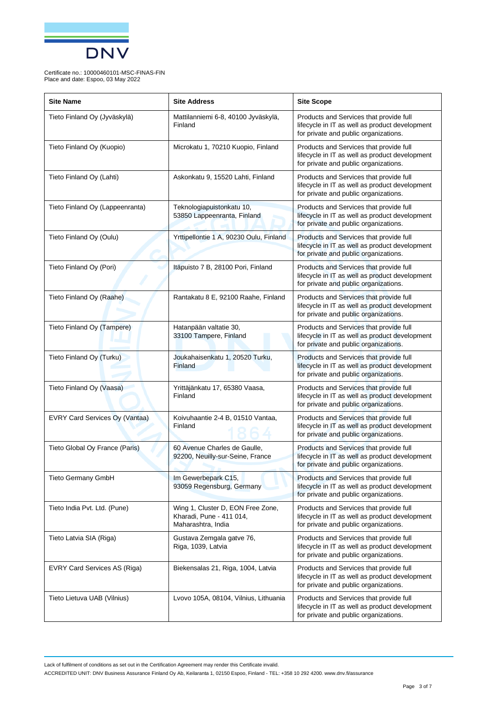

| <b>Site Name</b>                | <b>Site Address</b>                                                                 | <b>Site Scope</b>                                                                                                                  |
|---------------------------------|-------------------------------------------------------------------------------------|------------------------------------------------------------------------------------------------------------------------------------|
| Tieto Finland Oy (Jyväskylä)    | Mattilanniemi 6-8, 40100 Jyväskylä,<br>Finland                                      | Products and Services that provide full<br>lifecycle in IT as well as product development<br>for private and public organizations. |
| Tieto Finland Oy (Kuopio)       | Microkatu 1, 70210 Kuopio, Finland                                                  | Products and Services that provide full<br>lifecycle in IT as well as product development<br>for private and public organizations. |
| Tieto Finland Oy (Lahti)        | Askonkatu 9, 15520 Lahti, Finland                                                   | Products and Services that provide full<br>lifecycle in IT as well as product development<br>for private and public organizations. |
| Tieto Finland Oy (Lappeenranta) | Teknologiapuistonkatu 10,<br>53850 Lappeenranta, Finland                            | Products and Services that provide full<br>lifecycle in IT as well as product development<br>for private and public organizations. |
| Tieto Finland Oy (Oulu)         | Yrttipellontie 1 A, 90230 Oulu, Finland                                             | Products and Services that provide full<br>lifecycle in IT as well as product development<br>for private and public organizations. |
| Tieto Finland Oy (Pori)         | Itäpuisto 7 B, 28100 Pori, Finland                                                  | Products and Services that provide full<br>lifecycle in IT as well as product development<br>for private and public organizations. |
| Tieto Finland Oy (Raahe)        | Rantakatu 8 E, 92100 Raahe, Finland                                                 | Products and Services that provide full<br>lifecycle in IT as well as product development<br>for private and public organizations. |
| Tieto Finland Oy (Tampere)      | Hatanpään valtatie 30,<br>33100 Tampere, Finland                                    | Products and Services that provide full<br>lifecycle in IT as well as product development<br>for private and public organizations. |
| Tieto Finland Oy (Turku)        | Joukahaisenkatu 1, 20520 Turku,<br>Finland                                          | Products and Services that provide full<br>lifecycle in IT as well as product development<br>for private and public organizations. |
| Tieto Finland Oy (Vaasa)        | Yrittäjänkatu 17, 65380 Vaasa,<br>Finland                                           | Products and Services that provide full<br>lifecycle in IT as well as product development<br>for private and public organizations. |
| EVRY Card Services Oy (Vantaa)  | Koivuhaantie 2-4 B, 01510 Vantaa,<br>Finland                                        | Products and Services that provide full<br>lifecycle in IT as well as product development<br>for private and public organizations. |
| Tieto Global Oy France (Paris)  | 60 Avenue Charles de Gaulle,<br>92200, Neuilly-sur-Seine, France                    | Products and Services that provide full<br>lifecycle in IT as well as product development<br>for private and public organizations. |
| Tieto Germany GmbH              | Im Gewerbepark C15,<br>93059 Regensburg, Germany                                    | Products and Services that provide full<br>lifecycle in IT as well as product development<br>for private and public organizations. |
| Tieto India Pvt. Ltd. (Pune)    | Wing 1, Cluster D, EON Free Zone,<br>Kharadi, Pune - 411 014,<br>Maharashtra, India | Products and Services that provide full<br>lifecycle in IT as well as product development<br>for private and public organizations. |
| Tieto Latvia SIA (Riga)         | Gustava Zemgala gatve 76,<br>Riga, 1039, Latvia                                     | Products and Services that provide full<br>lifecycle in IT as well as product development<br>for private and public organizations. |
| EVRY Card Services AS (Riga)    | Biekensalas 21, Riga, 1004, Latvia                                                  | Products and Services that provide full<br>lifecycle in IT as well as product development<br>for private and public organizations. |
| Tieto Lietuva UAB (Vilnius)     | Lvovo 105A, 08104, Vilnius, Lithuania                                               | Products and Services that provide full<br>lifecycle in IT as well as product development<br>for private and public organizations. |

Lack of fulfilment of conditions as set out in the Certification Agreement may render this Certificate invalid.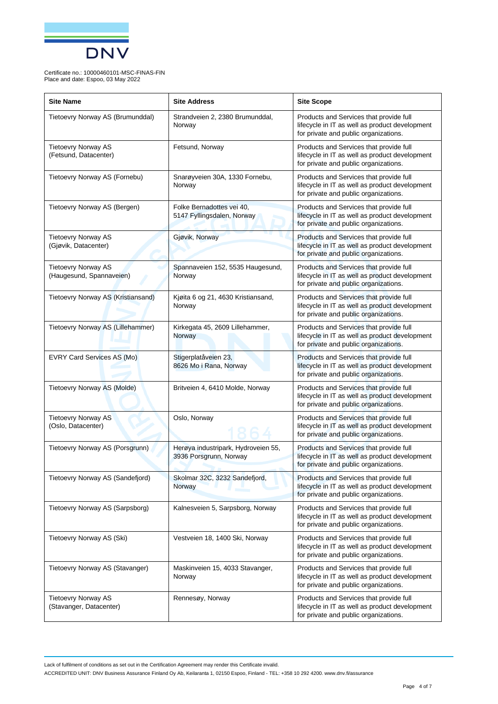

| <b>Site Name</b>                                       | <b>Site Address</b>                                           | <b>Site Scope</b>                                                                                                                  |
|--------------------------------------------------------|---------------------------------------------------------------|------------------------------------------------------------------------------------------------------------------------------------|
| Tietoevry Norway AS (Brumunddal)                       | Strandveien 2, 2380 Brumunddal,<br>Norway                     | Products and Services that provide full<br>lifecycle in IT as well as product development<br>for private and public organizations. |
| <b>Tietoevry Norway AS</b><br>(Fetsund, Datacenter)    | Fetsund, Norway                                               | Products and Services that provide full<br>lifecycle in IT as well as product development<br>for private and public organizations. |
| Tietoevry Norway AS (Fornebu)                          | Snarøyveien 30A, 1330 Fornebu,<br>Norway                      | Products and Services that provide full<br>lifecycle in IT as well as product development<br>for private and public organizations. |
| Tietoevry Norway AS (Bergen)                           | Folke Bernadottes vei 40,<br>5147 Fyllingsdalen, Norway       | Products and Services that provide full<br>lifecycle in IT as well as product development<br>for private and public organizations. |
| <b>Tietoevry Norway AS</b><br>(Gjøvik, Datacenter)     | Gjøvik, Norway                                                | Products and Services that provide full<br>lifecycle in IT as well as product development<br>for private and public organizations. |
| <b>Tietoevry Norway AS</b><br>(Haugesund, Spannaveien) | Spannaveien 152, 5535 Haugesund,<br>Norway                    | Products and Services that provide full<br>lifecycle in IT as well as product development<br>for private and public organizations. |
| Tietoevry Norway AS (Kristiansand)                     | Kjøita 6 og 21, 4630 Kristiansand,<br>Norway                  | Products and Services that provide full<br>lifecycle in IT as well as product development<br>for private and public organizations. |
| Tietoevry Norway AS (Lillehammer)                      | Kirkegata 45, 2609 Lillehammer,<br>Norway                     | Products and Services that provide full<br>lifecycle in IT as well as product development<br>for private and public organizations. |
| EVRY Card Services AS (Mo)                             | Stigerplatåveien 23,<br>8626 Mo i Rana, Norway                | Products and Services that provide full<br>lifecycle in IT as well as product development<br>for private and public organizations. |
| Tietoevry Norway AS (Molde)                            | Britveien 4, 6410 Molde, Norway                               | Products and Services that provide full<br>lifecycle in IT as well as product development<br>for private and public organizations. |
| <b>Tietoevry Norway AS</b><br>(Oslo, Datacenter)       | Oslo, Norway                                                  | Products and Services that provide full<br>lifecycle in IT as well as product development<br>for private and public organizations. |
| Tietoevry Norway AS (Porsgrunn)                        | Herøya industripark, Hydroveien 55,<br>3936 Porsgrunn, Norway | Products and Services that provide full<br>lifecycle in IT as well as product development<br>for private and public organizations. |
| Tietoevry Norway AS (Sandefjord)                       | Skolmar 32C, 3232 Sandefjord,<br>Norway                       | Products and Services that provide full<br>lifecycle in IT as well as product development<br>for private and public organizations. |
| Tietoevry Norway AS (Sarpsborg)                        | Kalnesveien 5, Sarpsborg, Norway                              | Products and Services that provide full<br>lifecycle in IT as well as product development<br>for private and public organizations. |
| Tietoevry Norway AS (Ski)                              | Vestveien 18, 1400 Ski, Norway                                | Products and Services that provide full<br>lifecycle in IT as well as product development<br>for private and public organizations. |
| Tietoevry Norway AS (Stavanger)                        | Maskinveien 15, 4033 Stavanger,<br>Norway                     | Products and Services that provide full<br>lifecycle in IT as well as product development<br>for private and public organizations. |
| <b>Tietoevry Norway AS</b><br>(Stavanger, Datacenter)  | Rennesøy, Norway                                              | Products and Services that provide full<br>lifecycle in IT as well as product development<br>for private and public organizations. |

Lack of fulfilment of conditions as set out in the Certification Agreement may render this Certificate invalid.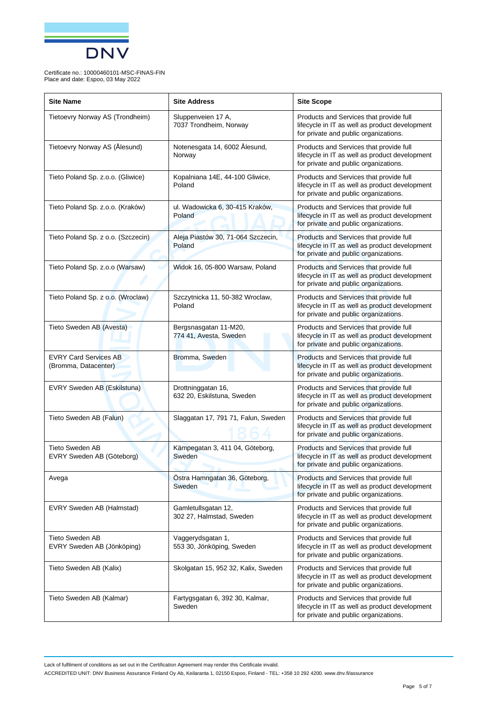

| <b>Site Name</b>                                     | <b>Site Address</b>                              | <b>Site Scope</b>                                                                                                                  |
|------------------------------------------------------|--------------------------------------------------|------------------------------------------------------------------------------------------------------------------------------------|
| Tietoevry Norway AS (Trondheim)                      | Sluppenveien 17 A,<br>7037 Trondheim, Norway     | Products and Services that provide full<br>lifecycle in IT as well as product development<br>for private and public organizations. |
| Tietoevry Norway AS (Ålesund)                        | Notenesgata 14, 6002 Ålesund,<br>Norway          | Products and Services that provide full<br>lifecycle in IT as well as product development<br>for private and public organizations. |
| Tieto Poland Sp. z.o.o. (Gliwice)                    | Kopalniana 14E, 44-100 Gliwice,<br>Poland        | Products and Services that provide full<br>lifecycle in IT as well as product development<br>for private and public organizations. |
| Tieto Poland Sp. z.o.o. (Kraków)                     | ul. Wadowicka 6, 30-415 Kraków,<br>Poland        | Products and Services that provide full<br>lifecycle in IT as well as product development<br>for private and public organizations. |
| Tieto Poland Sp. z o.o. (Szczecin)                   | Aleja Piastów 30, 71-064 Szczecin,<br>Poland     | Products and Services that provide full<br>lifecycle in IT as well as product development<br>for private and public organizations. |
| Tieto Poland Sp. z.o.o (Warsaw)                      | Widok 16, 05-800 Warsaw, Poland                  | Products and Services that provide full<br>lifecycle in IT as well as product development<br>for private and public organizations. |
| Tieto Poland Sp. z o.o. (Wroclaw)                    | Szczytnicka 11, 50-382 Wroclaw,<br>Poland        | Products and Services that provide full<br>lifecycle in IT as well as product development<br>for private and public organizations. |
| Tieto Sweden AB (Avesta)                             | Bergsnasgatan 11-M20,<br>774 41, Avesta, Sweden  | Products and Services that provide full<br>lifecycle in IT as well as product development<br>for private and public organizations. |
| <b>EVRY Card Services AB</b><br>(Bromma, Datacenter) | Bromma, Sweden                                   | Products and Services that provide full<br>lifecycle in IT as well as product development<br>for private and public organizations. |
| EVRY Sweden AB (Eskilstuna)                          | Drottninggatan 16,<br>632 20, Eskilstuna, Sweden | Products and Services that provide full<br>lifecycle in IT as well as product development<br>for private and public organizations. |
| Tieto Sweden AB (Falun)                              | Slaggatan 17, 791 71, Falun, Sweden              | Products and Services that provide full<br>lifecycle in IT as well as product development<br>for private and public organizations. |
| <b>Tieto Sweden AB</b><br>EVRY Sweden AB (Göteborg)  | Kämpegatan 3, 411 04, Göteborg,<br>Sweden        | Products and Services that provide full<br>lifecycle in IT as well as product development<br>for private and public organizations. |
| Avega                                                | Östra Hamngatan 36, Göteborg,<br>Sweden          | Products and Services that provide full<br>lifecycle in IT as well as product development<br>for private and public organizations. |
| EVRY Sweden AB (Halmstad)                            | Gamletullsgatan 12,<br>302 27, Halmstad, Sweden  | Products and Services that provide full<br>lifecycle in IT as well as product development<br>for private and public organizations. |
| <b>Tieto Sweden AB</b><br>EVRY Sweden AB (Jönköping) | Vaggerydsgatan 1,<br>553 30, Jönköping, Sweden   | Products and Services that provide full<br>lifecycle in IT as well as product development<br>for private and public organizations. |
| Tieto Sweden AB (Kalix)                              | Skolgatan 15, 952 32, Kalix, Sweden              | Products and Services that provide full<br>lifecycle in IT as well as product development<br>for private and public organizations. |
| Tieto Sweden AB (Kalmar)                             | Fartygsgatan 6, 392 30, Kalmar,<br>Sweden        | Products and Services that provide full<br>lifecycle in IT as well as product development<br>for private and public organizations. |

Lack of fulfilment of conditions as set out in the Certification Agreement may render this Certificate invalid.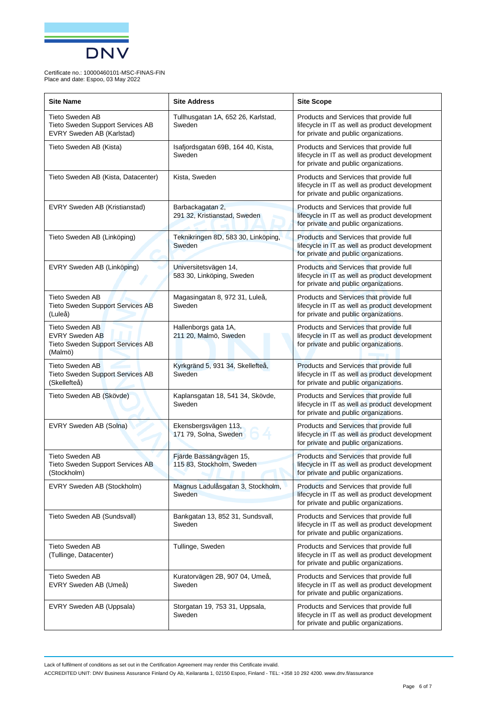

| <b>Site Name</b>                                                                               | <b>Site Address</b>                                  | <b>Site Scope</b>                                                                                                                  |
|------------------------------------------------------------------------------------------------|------------------------------------------------------|------------------------------------------------------------------------------------------------------------------------------------|
| Tieto Sweden AB<br>Tieto Sweden Support Services AB<br>EVRY Sweden AB (Karlstad)               | Tullhusgatan 1A, 652 26, Karlstad,<br>Sweden         | Products and Services that provide full<br>lifecycle in IT as well as product development<br>for private and public organizations. |
| Tieto Sweden AB (Kista)                                                                        | Isafjordsgatan 69B, 164 40, Kista,<br>Sweden         | Products and Services that provide full<br>lifecycle in IT as well as product development<br>for private and public organizations. |
| Tieto Sweden AB (Kista, Datacenter)                                                            | Kista, Sweden                                        | Products and Services that provide full<br>lifecycle in IT as well as product development<br>for private and public organizations. |
| EVRY Sweden AB (Kristianstad)                                                                  | Barbackagatan 2,<br>291 32, Kristianstad, Sweden     | Products and Services that provide full<br>lifecycle in IT as well as product development<br>for private and public organizations. |
| Tieto Sweden AB (Linköping)                                                                    | Teknikringen 8D, 583 30, Linköping,<br>Sweden        | Products and Services that provide full<br>lifecycle in IT as well as product development<br>for private and public organizations. |
| EVRY Sweden AB (Linköping)                                                                     | Universitetsvägen 14,<br>583 30, Linköping, Sweden   | Products and Services that provide full<br>lifecycle in IT as well as product development<br>for private and public organizations. |
| <b>Tieto Sweden AB</b><br><b>Tieto Sweden Support Services AB</b><br>(Luleå)                   | Magasingatan 8, 972 31, Luleå,<br>Sweden             | Products and Services that provide full<br>lifecycle in IT as well as product development<br>for private and public organizations. |
| Tieto Sweden AB<br><b>EVRY Sweden AB</b><br><b>Tieto Sweden Support Services AB</b><br>(Malmö) | Hallenborgs gata 1A,<br>211 20, Malmö, Sweden        | Products and Services that provide full<br>lifecycle in IT as well as product development<br>for private and public organizations. |
| <b>Tieto Sweden AB</b><br>Tieto Sweden Support Services AB<br>(Skellefteå)                     | Kyrkgränd 5, 931 34, Skellefteå,<br>Sweden           | Products and Services that provide full<br>lifecycle in IT as well as product development<br>for private and public organizations. |
| Tieto Sweden AB (Skövde)                                                                       | Kaplansgatan 18, 541 34, Skövde,<br>Sweden           | Products and Services that provide full<br>lifecycle in IT as well as product development<br>for private and public organizations. |
| EVRY Sweden AB (Solna)                                                                         | Ekensbergsvägen 113,<br>171 79, Solna, Sweden        | Products and Services that provide full<br>lifecycle in IT as well as product development<br>for private and public organizations. |
| <b>Tieto Sweden AB</b><br>Tieto Sweden Support Services AB<br>(Stockholm)                      | Fjärde Bassängvägen 15,<br>115 83, Stockholm, Sweden | Products and Services that provide full<br>lifecycle in IT as well as product development<br>for private and public organizations. |
| EVRY Sweden AB (Stockholm)                                                                     | Magnus Ladulåsgatan 3, Stockholm,<br>Sweden          | Products and Services that provide full<br>lifecycle in IT as well as product development<br>for private and public organizations. |
| Tieto Sweden AB (Sundsvall)                                                                    | Bankgatan 13, 852 31, Sundsvall,<br>Sweden           | Products and Services that provide full<br>lifecycle in IT as well as product development<br>for private and public organizations. |
| <b>Tieto Sweden AB</b><br>(Tullinge, Datacenter)                                               | Tullinge, Sweden                                     | Products and Services that provide full<br>lifecycle in IT as well as product development<br>for private and public organizations. |
| <b>Tieto Sweden AB</b><br>EVRY Sweden AB (Umeå)                                                | Kuratorvägen 2B, 907 04, Umeå,<br>Sweden             | Products and Services that provide full<br>lifecycle in IT as well as product development<br>for private and public organizations. |
| EVRY Sweden AB (Uppsala)                                                                       | Storgatan 19, 753 31, Uppsala,<br>Sweden             | Products and Services that provide full<br>lifecycle in IT as well as product development<br>for private and public organizations. |

Lack of fulfilment of conditions as set out in the Certification Agreement may render this Certificate invalid.